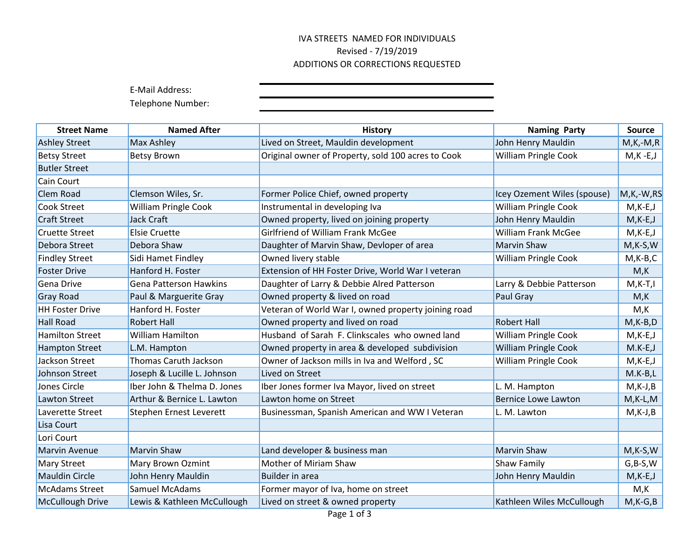## IVA STREETS NAMED FOR INDIVIDUALS Revised - 7/19/2019 ADDITIONS OR CORRECTIONS REQUESTED

E-Mail Address:

Telephone Number:

| <b>Street Name</b>     | <b>Named After</b>            | <b>History</b>                                      | <b>Naming Party</b>         | <b>Source</b> |
|------------------------|-------------------------------|-----------------------------------------------------|-----------------------------|---------------|
| <b>Ashley Street</b>   | Max Ashley                    | Lived on Street, Mauldin development                | John Henry Mauldin          | $M,K,-M,R$    |
| <b>Betsy Street</b>    | <b>Betsy Brown</b>            | Original owner of Property, sold 100 acres to Cook  | <b>William Pringle Cook</b> | $M,K$ -E,J    |
| <b>Butler Street</b>   |                               |                                                     |                             |               |
| Cain Court             |                               |                                                     |                             |               |
| <b>Clem Road</b>       | Clemson Wiles, Sr.            | Former Police Chief, owned property                 | Icey Ozement Wiles (spouse) | M,K,-W,RS     |
| <b>Cook Street</b>     | <b>William Pringle Cook</b>   | Instrumental in developing Iva                      | <b>William Pringle Cook</b> | $M$ ,K-E,J    |
| <b>Craft Street</b>    | Jack Craft                    | Owned property, lived on joining property           | John Henry Mauldin          | $M,K-E,J$     |
| <b>Cruette Street</b>  | <b>Elsie Cruette</b>          | Girlfriend of William Frank McGee                   | <b>William Frank McGee</b>  | $M,K-E,J$     |
| Debora Street          | Debora Shaw                   | Daughter of Marvin Shaw, Devloper of area           | <b>Marvin Shaw</b>          | $M,K-S,W$     |
| <b>Findley Street</b>  | Sidi Hamet Findley            | Owned livery stable                                 | <b>William Pringle Cook</b> | $M$ , K-B, C  |
| <b>Foster Drive</b>    | Hanford H. Foster             | Extension of HH Foster Drive, World War I veteran   |                             | M,K           |
| Gena Drive             | <b>Gena Patterson Hawkins</b> | Daughter of Larry & Debbie Alred Patterson          | Larry & Debbie Patterson    | $M,K-T,I$     |
| Gray Road              | Paul & Marguerite Gray        | Owned property & lived on road                      | Paul Gray                   | M,K           |
| <b>HH Foster Drive</b> | Hanford H. Foster             | Veteran of World War I, owned property joining road |                             | M,K           |
| <b>Hall Road</b>       | <b>Robert Hall</b>            | Owned property and lived on road                    | <b>Robert Hall</b>          | $M$ , K-B, D  |
| <b>Hamilton Street</b> | <b>William Hamilton</b>       | Husband of Sarah F. Clinkscales who owned land      | <b>William Pringle Cook</b> | $M,K-E,J$     |
| <b>Hampton Street</b>  | L.M. Hampton                  | Owned property in area & developed subdivision      | <b>William Pringle Cook</b> | $M.K-E, J$    |
| Jackson Street         | <b>Thomas Caruth Jackson</b>  | Owner of Jackson mills in Iva and Welford, SC       | <b>William Pringle Cook</b> | $M,K-E,J$     |
| <b>Johnson Street</b>  | Joseph & Lucille L. Johnson   | Lived on Street                                     |                             | $M.K-B,L$     |
| Jones Circle           | Iber John & Thelma D. Jones   | Iber Jones former Iva Mayor, lived on street        | L. M. Hampton               | $M,K-J,B$     |
| <b>Lawton Street</b>   | Arthur & Bernice L. Lawton    | Lawton home on Street                               | <b>Bernice Lowe Lawton</b>  | $M$ , K-L, M  |
| Laverette Street       | Stephen Ernest Leverett       | Businessman, Spanish American and WW I Veteran      | L. M. Lawton                | $M,K-J,B$     |
| Lisa Court             |                               |                                                     |                             |               |
| Lori Court             |                               |                                                     |                             |               |
| <b>Marvin Avenue</b>   | <b>Marvin Shaw</b>            | Land developer & business man                       | <b>Marvin Shaw</b>          | $M$ , K-S, W  |
| <b>Mary Street</b>     | Mary Brown Ozmint             | Mother of Miriam Shaw                               | Shaw Family                 | $G,B-S,W$     |
| <b>Mauldin Circle</b>  | John Henry Mauldin            | <b>Builder in area</b>                              | John Henry Mauldin          | $M,K-E,J$     |
| <b>McAdams Street</b>  | Samuel McAdams                | Former mayor of Iva, home on street                 |                             | M,K           |
| McCullough Drive       | Lewis & Kathleen McCullough   | Lived on street & owned property                    | Kathleen Wiles McCullough   | $M$ , K-G, B  |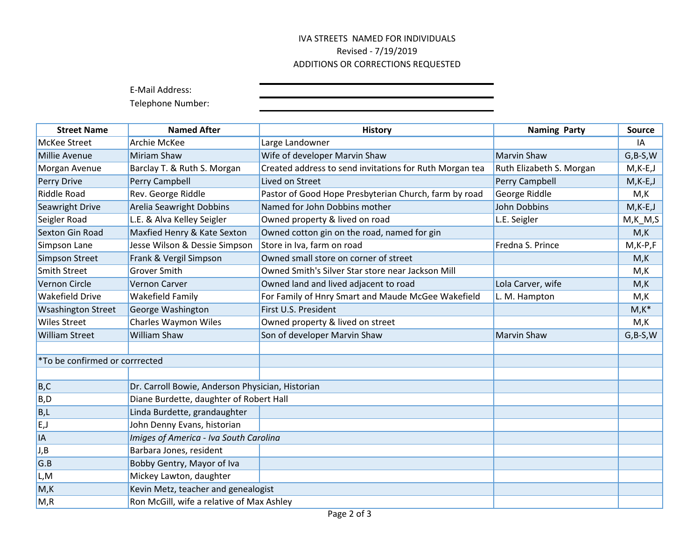## IVA STREETS NAMED FOR INDIVIDUALS Revised - 7/19/2019 ADDITIONS OR CORRECTIONS REQUESTED

E-Mail Address:

Telephone Number:

| <b>Street Name</b>             | <b>Named After</b>                               | <b>History</b>                                          | <b>Naming Party</b>      | <b>Source</b> |
|--------------------------------|--------------------------------------------------|---------------------------------------------------------|--------------------------|---------------|
| <b>McKee Street</b>            | Archie McKee                                     | Large Landowner                                         |                          | IA            |
| Millie Avenue                  | Miriam Shaw                                      | Wife of developer Marvin Shaw                           | <b>Marvin Shaw</b>       | $G,B-S,W$     |
| Morgan Avenue                  | Barclay T. & Ruth S. Morgan                      | Created address to send invitations for Ruth Morgan tea | Ruth Elizabeth S. Morgan | $M$ , K-E, J  |
| Perry Drive                    | Perry Campbell                                   | Lived on Street                                         | Perry Campbell           | $M,K-E,J$     |
| <b>Riddle Road</b>             | Rev. George Riddle                               | Pastor of Good Hope Presbyterian Church, farm by road   | George Riddle            | M,K           |
| Seawright Drive                | <b>Arelia Seawright Dobbins</b>                  | Named for John Dobbins mother                           | <b>John Dobbins</b>      | $M,K-E,J$     |
| Seigler Road                   | L.E. & Alva Kelley Seigler                       | Owned property & lived on road                          | L.E. Seigler             | $M,K_M, S$    |
| Sexton Gin Road                | Maxfied Henry & Kate Sexton                      | Owned cotton gin on the road, named for gin             |                          | M,K           |
| Simpson Lane                   | Jesse Wilson & Dessie Simpson                    | Store in Iva, farm on road                              | Fredna S. Prince         | $M$ , K-P, F  |
| <b>Simpson Street</b>          | Frank & Vergil Simpson                           | Owned small store on corner of street                   |                          | M,K           |
| <b>Smith Street</b>            | <b>Grover Smith</b>                              | Owned Smith's Silver Star store near Jackson Mill       |                          | M,K           |
| Vernon Circle                  | <b>Vernon Carver</b>                             | Owned land and lived adjacent to road                   | Lola Carver, wife        | M,K           |
| <b>Wakefield Drive</b>         | <b>Wakefield Family</b>                          | For Family of Hnry Smart and Maude McGee Wakefield      | L. M. Hampton            | M,K           |
| <b>Wsashington Street</b>      | George Washington                                | First U.S. President                                    |                          | $M,K^*$       |
| <b>Wiles Street</b>            | <b>Charles Waymon Wiles</b>                      | Owned property & lived on street                        |                          | M,K           |
| <b>William Street</b>          | <b>William Shaw</b>                              | Son of developer Marvin Shaw                            | <b>Marvin Shaw</b>       | $G,B-S,W$     |
|                                |                                                  |                                                         |                          |               |
| *To be confirmed or corrrected |                                                  |                                                         |                          |               |
|                                |                                                  |                                                         |                          |               |
| B, C                           | Dr. Carroll Bowie, Anderson Physician, Historian |                                                         |                          |               |
| B, D                           | Diane Burdette, daughter of Robert Hall          |                                                         |                          |               |
| B,L                            | Linda Burdette, grandaughter                     |                                                         |                          |               |
| E,J                            | John Denny Evans, historian                      |                                                         |                          |               |
| <b>IA</b>                      | Imiges of America - Iva South Carolina           |                                                         |                          |               |
| J,B                            | Barbara Jones, resident                          |                                                         |                          |               |
| G.B                            | Bobby Gentry, Mayor of Iva                       |                                                         |                          |               |
| L,M                            | Mickey Lawton, daughter                          |                                                         |                          |               |
| M,K                            | Kevin Metz, teacher and genealogist              |                                                         |                          |               |
| M, R                           | Ron McGill, wife a relative of Max Ashley        |                                                         |                          |               |